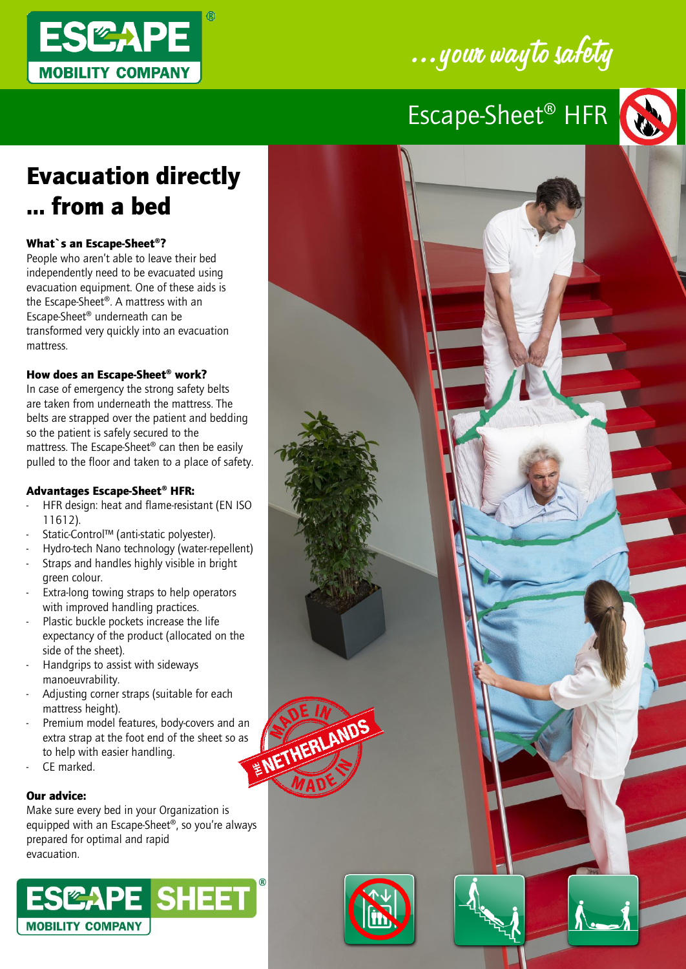

# ...your wayto safety

# Escape-Sheet® HFR



### Evacuation directly … from a bed

#### What`s an Escape-Sheet®?

People who aren't able to leave their bed independently need to be evacuated using evacuation equipment. One of these aids is the Escape-Sheet®. A mattress with an Escape-Sheet® underneath can be transformed very quickly into an evacuation mattress.

#### How does an Escape-Sheet® work?

In case of emergency the strong safety belts are taken from underneath the mattress. The belts are strapped over the patient and bedding so the patient is safely secured to the mattress. The Escape-Sheet® can then be easily pulled to the floor and taken to a place of safety.

### Advantages Escape-Sheet® HFR:

- HFR design: heat and flame-resistant (EN ISO 11612).
- Static-Control™ (anti-static polyester).
- Hydro-tech Nano technology (water-repellent)
- Straps and handles highly visible in bright green colour.
- Extra-long towing straps to help operators with improved handling practices.
- Plastic buckle pockets increase the life expectancy of the product (allocated on the side of the sheet).
- Handgrips to assist with sideways manoeuvrability.
- Adjusting corner straps (suitable for each mattress height).
- Premium model features, body-covers and an<br>extra strap at the foot end of the sheet so as<br>to help with easier handling.<br>CE marked. extra strap at the foot end of the sheet so as to help with easier handling.
- CF marked

#### Our advice:

Make sure every bed in your Organization is equipped with an Escape-Sheet®, so you're always prepared for optimal and rapid evacuation.